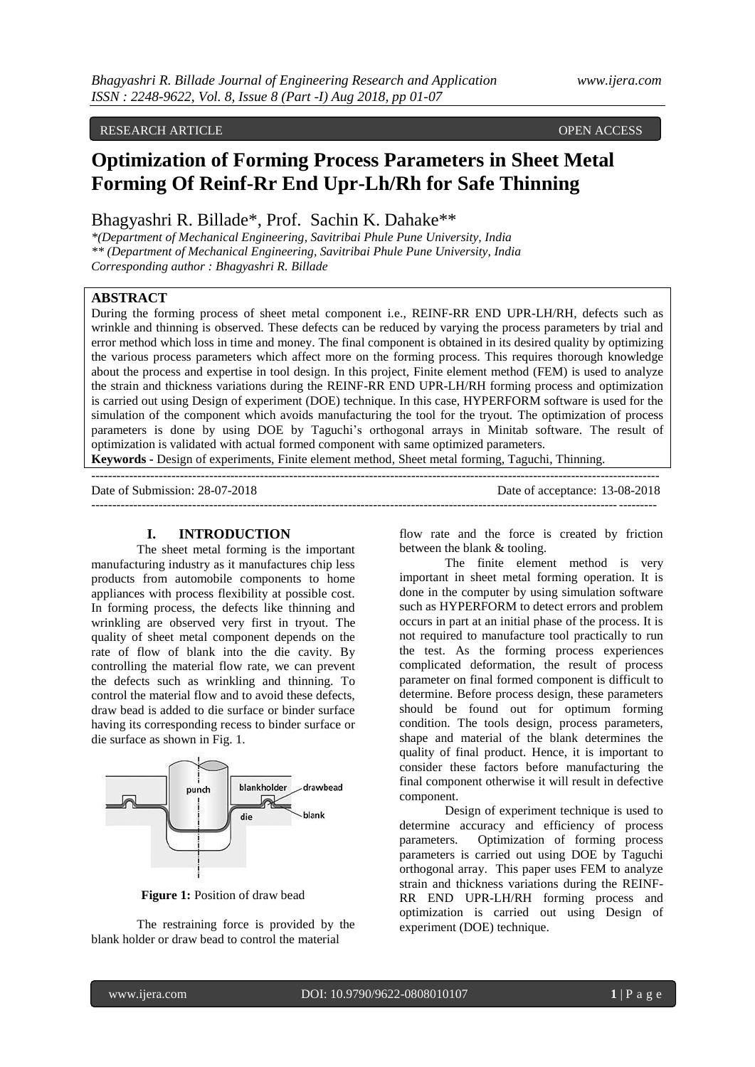## RESEARCH ARTICLE **CONFIDENTIAL CONFIDENTIAL CONFIDENTIAL CONFIDENTIAL CONFIDENTIAL CONFIDENTIAL CONFIDENTIAL CONFIDENTIAL CONFIDENTIAL CONFIDENTIAL CONFIDENTIAL CONFIDENTIAL CONFIDENTIAL CONFIDENTIAL CONFIDENTIAL CONFIDENT**

# **Optimization of Forming Process Parameters in Sheet Metal Forming Of Reinf-Rr End Upr-Lh/Rh for Safe Thinning**

Bhagyashri R. Billade\*, Prof. Sachin K. Dahake\*\*

*\*(Department of Mechanical Engineering, Savitribai Phule Pune University, India \*\* (Department of Mechanical Engineering, Savitribai Phule Pune University, India Corresponding author : Bhagyashri R. Billade*

## **ABSTRACT**

During the forming process of sheet metal component i.e., REINF-RR END UPR-LH/RH, defects such as wrinkle and thinning is observed. These defects can be reduced by varying the process parameters by trial and error method which loss in time and money. The final component is obtained in its desired quality by optimizing the various process parameters which affect more on the forming process. This requires thorough knowledge about the process and expertise in tool design. In this project, Finite element method (FEM) is used to analyze the strain and thickness variations during the REINF-RR END UPR-LH/RH forming process and optimization is carried out using Design of experiment (DOE) technique. In this case, HYPERFORM software is used for the simulation of the component which avoids manufacturing the tool for the tryout. The optimization of process parameters is done by using DOE by Taguchi's orthogonal arrays in Minitab software. The result of optimization is validated with actual formed component with same optimized parameters.

**Keywords -** Design of experiments, Finite element method, Sheet metal forming, Taguchi, Thinning. ---------------------------------------------------------------------------------------------------------------------------------------

Date of Submission: 28-07-2018 Date of acceptance: 13-08-2018 --------------------------------------------------------------------------------------------------------------------------------------

#### **I. INTRODUCTION**

The sheet metal forming is the important manufacturing industry as it manufactures chip less products from automobile components to home appliances with process flexibility at possible cost. In forming process, the defects like thinning and wrinkling are observed very first in tryout. The quality of sheet metal component depends on the rate of flow of blank into the die cavity. By controlling the material flow rate, we can prevent the defects such as wrinkling and thinning. To control the material flow and to avoid these defects, draw bead is added to die surface or binder surface having its corresponding recess to binder surface or die surface as shown in Fig. 1.



**Figure 1:** Position of draw bead

The restraining force is provided by the blank holder or draw bead to control the material

flow rate and the force is created by friction between the blank & tooling.

The finite element method is very important in sheet metal forming operation. It is done in the computer by using simulation software such as HYPERFORM to detect errors and problem occurs in part at an initial phase of the process. It is not required to manufacture tool practically to run the test. As the forming process experiences complicated deformation, the result of process parameter on final formed component is difficult to determine. Before process design, these parameters should be found out for optimum forming condition. The tools design, process parameters, shape and material of the blank determines the quality of final product. Hence, it is important to consider these factors before manufacturing the final component otherwise it will result in defective component.

Design of experiment technique is used to determine accuracy and efficiency of process parameters. Optimization of forming process parameters is carried out using DOE by Taguchi orthogonal array. This paper uses FEM to analyze strain and thickness variations during the REINF-RR END UPR-LH/RH forming process and optimization is carried out using Design of experiment (DOE) technique.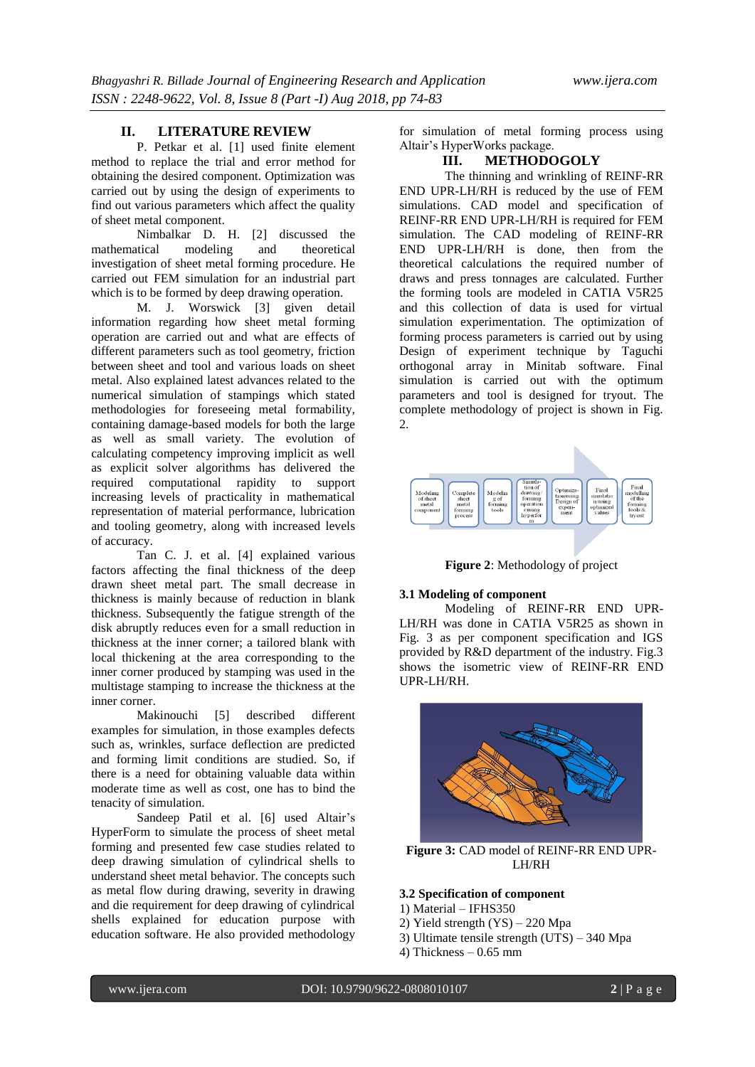## **II. LITERATURE REVIEW**

P. Petkar et al. [1] used finite element method to replace the trial and error method for obtaining the desired component. Optimization was carried out by using the design of experiments to find out various parameters which affect the quality of sheet metal component.

Nimbalkar D. H. [2] discussed the titical modeling and theoretical mathematical modeling and theoretical investigation of sheet metal forming procedure. He carried out FEM simulation for an industrial part which is to be formed by deep drawing operation.

M. J. Worswick [3] given detail information regarding how sheet metal forming operation are carried out and what are effects of different parameters such as tool geometry, friction between sheet and tool and various loads on sheet metal. Also explained latest advances related to the numerical simulation of stampings which stated methodologies for foreseeing metal formability, containing damage-based models for both the large as well as small variety. The evolution of calculating competency improving implicit as well as explicit solver algorithms has delivered the required computational rapidity to support increasing levels of practicality in mathematical representation of material performance, lubrication and tooling geometry, along with increased levels of accuracy.

Tan C. J. et al. [4] explained various factors affecting the final thickness of the deep drawn sheet metal part. The small decrease in thickness is mainly because of reduction in blank thickness. Subsequently the fatigue strength of the disk abruptly reduces even for a small reduction in thickness at the inner corner; a tailored blank with local thickening at the area corresponding to the inner corner produced by stamping was used in the multistage stamping to increase the thickness at the inner corner.

Makinouchi [5] described different examples for simulation, in those examples defects such as, wrinkles, surface deflection are predicted and forming limit conditions are studied. So, if there is a need for obtaining valuable data within moderate time as well as cost, one has to bind the tenacity of simulation.

Sandeep Patil et al. [6] used Altair's HyperForm to simulate the process of sheet metal forming and presented few case studies related to deep drawing simulation of cylindrical shells to understand sheet metal behavior. The concepts such as metal flow during drawing, severity in drawing and die requirement for deep drawing of cylindrical shells explained for education purpose with education software. He also provided methodology

for simulation of metal forming process using Altair's HyperWorks package.

## **III. METHODOGOLY**

The thinning and wrinkling of REINF-RR END UPR-LH/RH is reduced by the use of FEM simulations. CAD model and specification of REINF-RR END UPR-LH/RH is required for FEM simulation. The CAD modeling of REINF-RR END UPR-LH/RH is done, then from the theoretical calculations the required number of draws and press tonnages are calculated. Further the forming tools are modeled in CATIA V5R25 and this collection of data is used for virtual simulation experimentation. The optimization of forming process parameters is carried out by using Design of experiment technique by Taguchi orthogonal array in Minitab software. Final simulation is carried out with the optimum parameters and tool is designed for tryout. The complete methodology of project is shown in Fig. 2.



**Figure 2**: Methodology of project

#### **3.1 Modeling of component**

Modeling of REINF-RR END UPR-LH/RH was done in CATIA V5R25 as shown in Fig. 3 as per component specification and IGS provided by R&D department of the industry. Fig.3 shows the isometric view of REINF-RR END UPR-LH/RH.



**Figure 3:** CAD model of REINF-RR END UPR-LH/RH

#### **3.2 Specification of component**

- 1) Material IFHS350
- 2) Yield strength (YS) 220 Mpa
- 3) Ultimate tensile strength (UTS) 340 Mpa
- 4) Thickness  $-0.65$  mm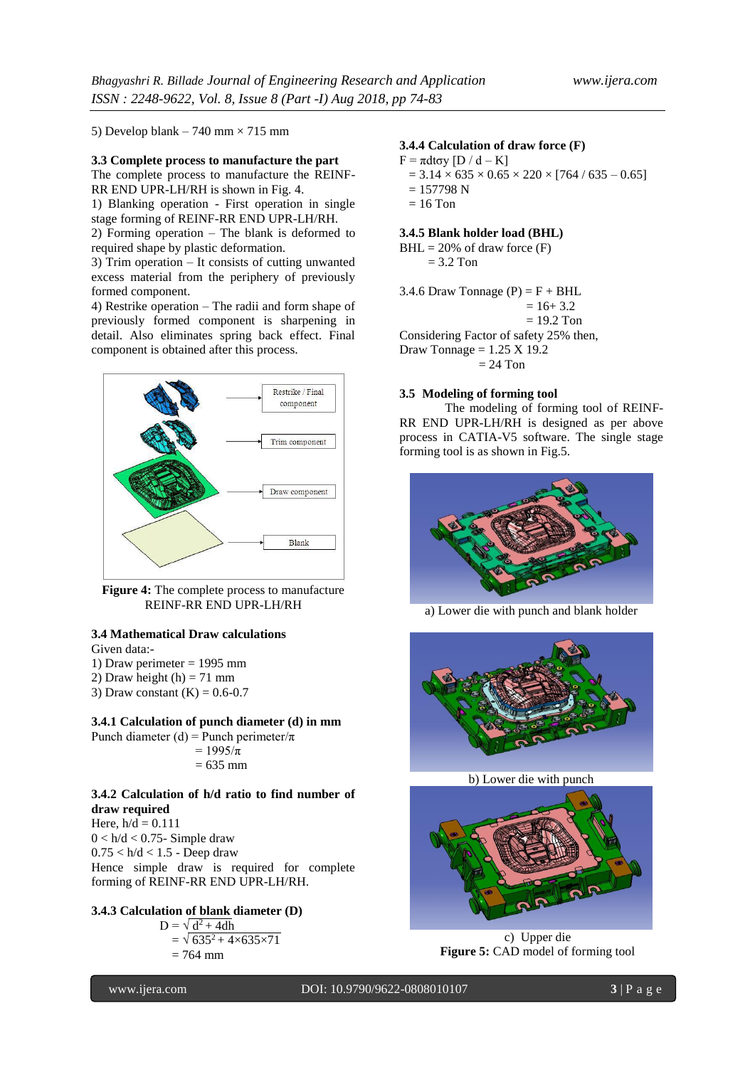5) Develop blank – 740 mm  $\times$  715 mm

### **3.3 Complete process to manufacture the part**

The complete process to manufacture the REINF-RR END UPR-LH/RH is shown in Fig. 4.

1) Blanking operation - First operation in single stage forming of REINF-RR END UPR-LH/RH.

2) Forming operation – The blank is deformed to required shape by plastic deformation.

3) Trim operation – It consists of cutting unwanted excess material from the periphery of previously formed component.

4) Restrike operation – The radii and form shape of previously formed component is sharpening in detail. Also eliminates spring back effect. Final component is obtained after this process.



**Figure 4:** The complete process to manufacture REINF-RR END UPR-LH/RH

## **3.4 Mathematical Draw calculations**

Given data:-

1) Draw perimeter = 1995 mm

- 2) Draw height  $(h) = 71$  mm
- 3) Draw constant  $(K) = 0.6 0.7$

#### **3.4.1 Calculation of punch diameter (d) in mm**

Punch diameter (d) = Punch perimeter/ $\pi$  $= 1995/\pi$  $= 635$  mm

#### **3.4.2 Calculation of h/d ratio to find number of draw required**

Here,  $h/d = 0.111$  $0 < h/d < 0.75$ - Simple draw  $0.75 < h/d < 1.5$  - Deep draw Hence simple draw is required for complete forming of REINF-RR END UPR-LH/RH.

## **3.4.3 Calculation of blank diameter (D)**

 $D = \sqrt{d^2 + 4dh}$  $= \sqrt{635^2 + 4 \times 635 \times 71}$  $= 764$  mm

## **3.4.4 Calculation of draw force (F)**

 $F = \pi dt \sigma y [D / d - K]$  $= 3.14 \times 635 \times 0.65 \times 220 \times [764 / 635 - 0.65]$  $= 157798 N$  $= 16$  Ton

#### **3.4.5 Blank holder load (BHL)**

 $BHL = 20\%$  of draw force  $(F)$  $= 3.2$  Ton

3.4.6 Draw Tonnage  $(P) = F + BHL$  $= 16 + 3.2$  $= 19.2$  Ton Considering Factor of safety 25% then, Draw Tonnage =  $1.25$  X 19.2

 $= 24$  Ton

### **3.5 Modeling of forming tool**

The modeling of forming tool of REINF-RR END UPR-LH/RH is designed as per above process in CATIA-V5 software. The single stage forming tool is as shown in Fig.5.



a) Lower die with punch and blank holder



b) Lower die with punch



c) Upper die **Figure 5:** CAD model of forming tool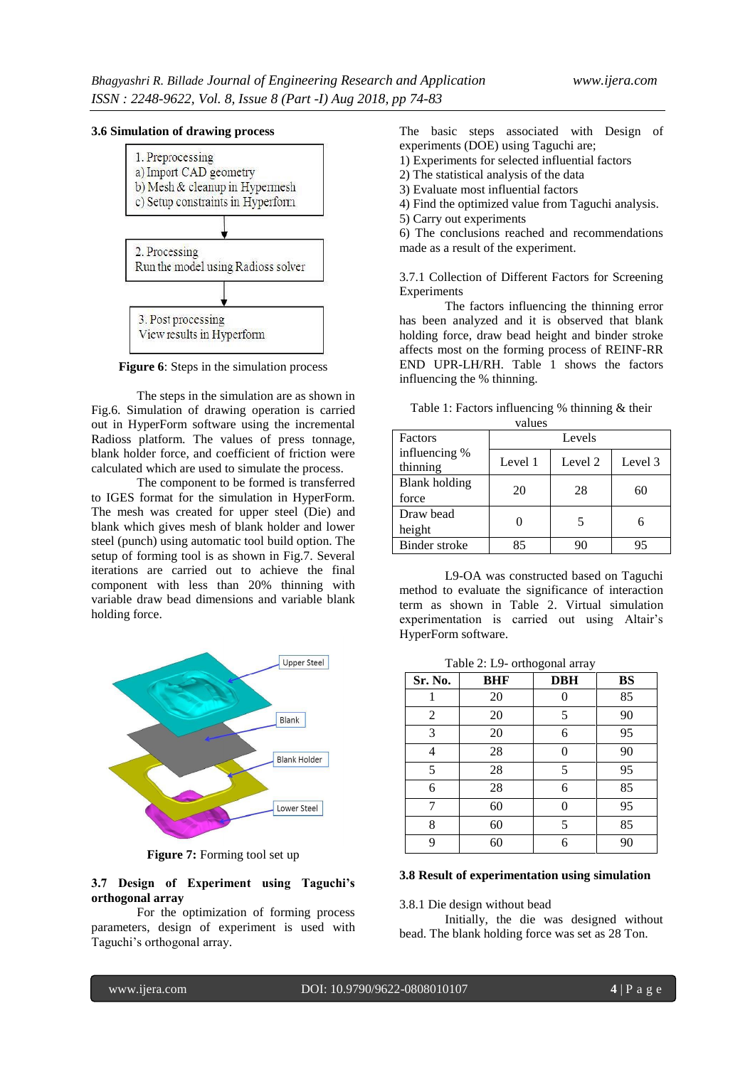#### **3.6 Simulation of drawing process**



**Figure 6**: Steps in the simulation process

The steps in the simulation are as shown in Fig.6. Simulation of drawing operation is carried out in HyperForm software using the incremental Radioss platform. The values of press tonnage, blank holder force, and coefficient of friction were calculated which are used to simulate the process.

The component to be formed is transferred to IGES format for the simulation in HyperForm. The mesh was created for upper steel (Die) and blank which gives mesh of blank holder and lower steel (punch) using automatic tool build option. The setup of forming tool is as shown in Fig.7. Several iterations are carried out to achieve the final component with less than 20% thinning with variable draw bead dimensions and variable blank holding force.



**Figure 7:** Forming tool set up

#### **3.7 Design of Experiment using Taguchi's orthogonal array**

For the optimization of forming process parameters, design of experiment is used with Taguchi's orthogonal array.

The basic steps associated with Design of experiments (DOE) using Taguchi are;

1) Experiments for selected influential factors

2) The statistical analysis of the data

3) Evaluate most influential factors

4) Find the optimized value from Taguchi analysis.

5) Carry out experiments

6) The conclusions reached and recommendations made as a result of the experiment.

3.7.1 Collection of Different Factors for Screening Experiments

The factors influencing the thinning error has been analyzed and it is observed that blank holding force, draw bead height and binder stroke affects most on the forming process of REINF-RR END UPR-LH/RH. Table 1 shows the factors influencing the % thinning.

| Factors                       | Levels  |         |         |
|-------------------------------|---------|---------|---------|
| influencing %<br>thinning     | Level 1 | Level 2 | Level 3 |
| <b>Blank</b> holding<br>force | 20      | 28      | 60      |
| Draw bead<br>height           |         |         | 6       |
| Binder stroke                 | 85      | 90      | 95      |

Table 1: Factors influencing % thinning & their values

L9-OA was constructed based on Taguchi method to evaluate the significance of interaction term as shown in Table 2. Virtual simulation experimentation is carried out using Altair's HyperForm software.

Table 2: L9- orthogonal array

| Sr. No.        | <b>BHF</b> | <b>DBH</b> | BS |
|----------------|------------|------------|----|
|                | 20         |            | 85 |
| $\overline{c}$ | 20         | 5          | 90 |
| 3              | 20         | 6          | 95 |
| 4              | 28         |            | 90 |
| 5              | 28         | 5          | 95 |
| 6              | 28         | 6          | 85 |
|                | 60         |            | 95 |
| 8              | 60         | 5          | 85 |
| 9              | 60         | 6          | 90 |

#### **3.8 Result of experimentation using simulation**

3.8.1 Die design without bead

Initially, the die was designed without bead. The blank holding force was set as 28 Ton.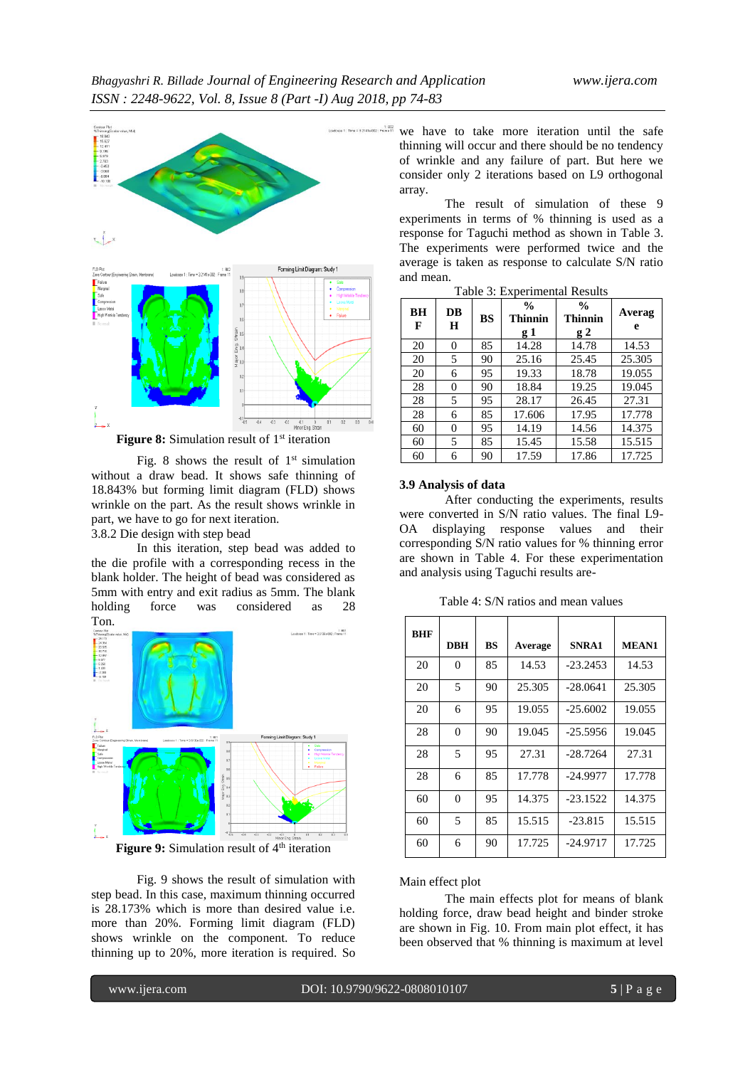

**Figure 8:** Simulation result of 1<sup>st</sup> iteration

Fig. 8 shows the result of  $1<sup>st</sup>$  simulation without a draw bead. It shows safe thinning of 18.843% but forming limit diagram (FLD) shows wrinkle on the part. As the result shows wrinkle in part, we have to go for next iteration.

3.8.2 Die design with step bead

In this iteration, step bead was added to the die profile with a corresponding recess in the blank holder. The height of bead was considered as 5mm with entry and exit radius as 5mm. The blank holding force was considered as 28 Ton.



**Figure 9:** Simulation result of 4<sup>th</sup> iteration

Fig. 9 shows the result of simulation with step bead. In this case, maximum thinning occurred is 28.173% which is more than desired value i.e. more than 20%. Forming limit diagram (FLD) shows wrinkle on the component. To reduce thinning up to 20%, more iteration is required. So

we have to take more iteration until the safe thinning will occur and there should be no tendency of wrinkle and any failure of part. But here we consider only 2 iterations based on L9 orthogonal array.

> The result of simulation of these 9 experiments in terms of % thinning is used as a response for Taguchi method as shown in Table 3. The experiments were performed twice and the average is taken as response to calculate S/N ratio and mean.

| BH<br>F | DB<br>$\bf H$ | BS | $\frac{0}{0}$<br><b>Thinnin</b><br>$g_1$ | $\frac{0}{0}$<br><b>Thinnin</b><br>g2 | Averag<br>e |
|---------|---------------|----|------------------------------------------|---------------------------------------|-------------|
| 20      | 0             | 85 | 14.28                                    | 14.78                                 | 14.53       |
| 20      | 5             | 90 | 25.16                                    | 25.45                                 | 25.305      |
| 20      | 6             | 95 | 19.33                                    | 18.78                                 | 19.055      |
| 28      | 0             | 90 | 18.84                                    | 19.25                                 | 19.045      |
| 28      | 5             | 95 | 28.17                                    | 26.45                                 | 27.31       |
| 28      | 6             | 85 | 17.606                                   | 17.95                                 | 17.778      |
| 60      | 0             | 95 | 14.19                                    | 14.56                                 | 14.375      |
| 60      | 5             | 85 | 15.45                                    | 15.58                                 | 15.515      |
| 60      | 6             | 90 | 17.59                                    | 17.86                                 | 17.725      |

Table 3: Experimental Results

#### **3.9 Analysis of data**

After conducting the experiments, results were converted in S/N ratio values. The final L9- OA displaying response values and their corresponding S/N ratio values for % thinning error are shown in Table 4. For these experimentation and analysis using Taguchi results are-

**BHF DBH BS Average SNRA1 MEAN1** 20 0 85 14.53 -23.2453 14.53 20 5 90 25.305 -28.0641 25.305 20 6 95 19.055 -25.6002 19.055 28 0 90 19.045 -25.5956 19.045 28 | 5 | 95 | 27.31 | -28.7264 | 27.31 28 6 85 17.778 -24.9977 17.778 60 0 95 14.375 -23.1522 14.375 60 5 85 15.515 -23.815 15.515 60 6 90 17.725 -24.9717 17.725

Table 4: S/N ratios and mean values

Main effect plot

The main effects plot for means of blank holding force, draw bead height and binder stroke are shown in Fig. 10. From main plot effect, it has been observed that % thinning is maximum at level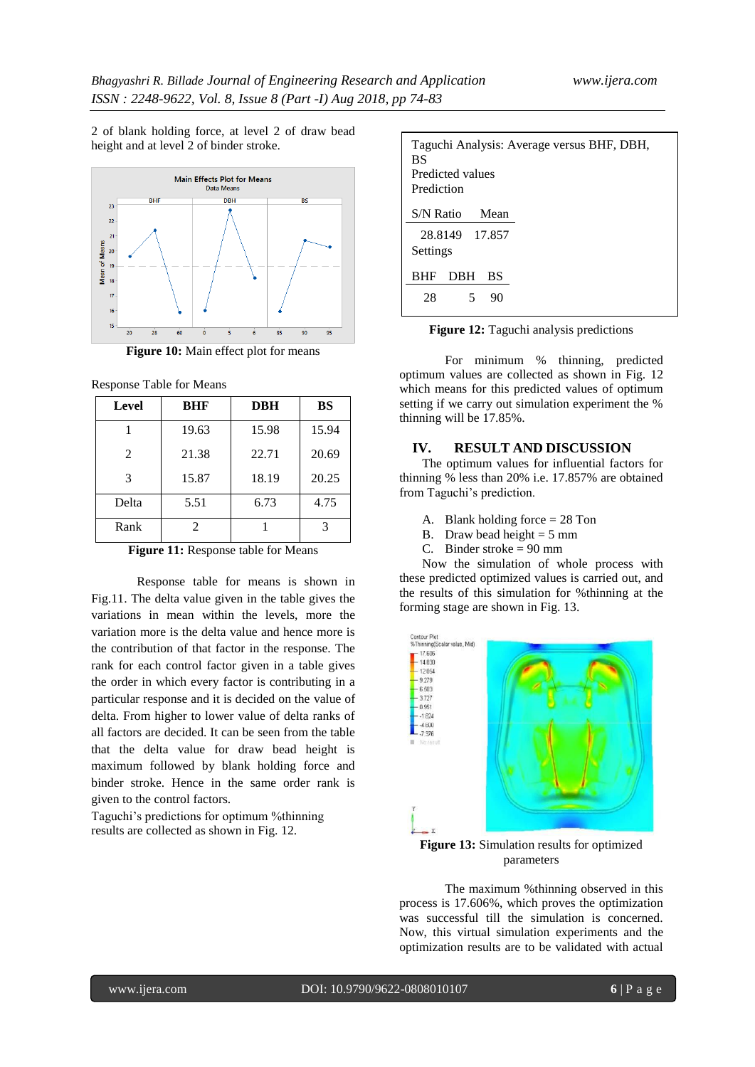2 of blank holding force, at level 2 of draw bead height and at level 2 of binder stroke.



**Figure 10:** Main effect plot for means

Response Table for Means

| Level         | BHF   | <b>DBH</b> | <b>BS</b> |
|---------------|-------|------------|-----------|
|               | 19.63 | 15.98      | 15.94     |
| 2             | 21.38 | 22.71      | 20.69     |
| $\mathcal{F}$ | 15.87 | 18.19      | 20.25     |
| Delta         | 5.51  | 6.73       | 4.75      |
| Rank          | 2.    |            |           |

**Figure 11:** Response table for Means

Response table for means is shown in Fig.11. The delta value given in the table gives the variations in mean within the levels, more the variation more is the delta value and hence more is the contribution of that factor in the response. The rank for each control factor given in a table gives the order in which every factor is contributing in a particular response and it is decided on the value of delta. From higher to lower value of delta ranks of all factors are decided. It can be seen from the table that the delta value for draw bead height is maximum followed by blank holding force and binder stroke. Hence in the same order rank is given to the control factors.

Taguchi's predictions for optimum %thinning results are collected as shown in Fig. 12.

| Taguchi Analysis: Average versus BHF, DBH,<br>BS<br>Predicted values<br>Prediction |
|------------------------------------------------------------------------------------|
| S/N Ratio<br>Mean                                                                  |
| 28.8149 17.857<br>Settings                                                         |
| <b>DBH</b><br><b>BHF</b><br>BS                                                     |
| 28<br>5<br>90                                                                      |

**Figure 12:** Taguchi analysis predictions

For minimum % thinning, predicted optimum values are collected as shown in Fig. 12 which means for this predicted values of optimum setting if we carry out simulation experiment the % thinning will be 17.85%.

#### **IV. RESULT AND DISCUSSION**

The optimum values for influential factors for thinning % less than 20% i.e. 17.857% are obtained from Taguchi's prediction.

- A. Blank holding force = 28 Ton
- B. Draw bead height =  $5 \text{ mm}$
- C. Binder stroke  $= 90$  mm

Now the simulation of whole process with these predicted optimized values is carried out, and the results of this simulation for %thinning at the forming stage are shown in Fig. 13.



**Figure 13:** Simulation results for optimized parameters

The maximum %thinning observed in this process is 17.606%, which proves the optimization was successful till the simulation is concerned. Now, this virtual simulation experiments and the optimization results are to be validated with actual